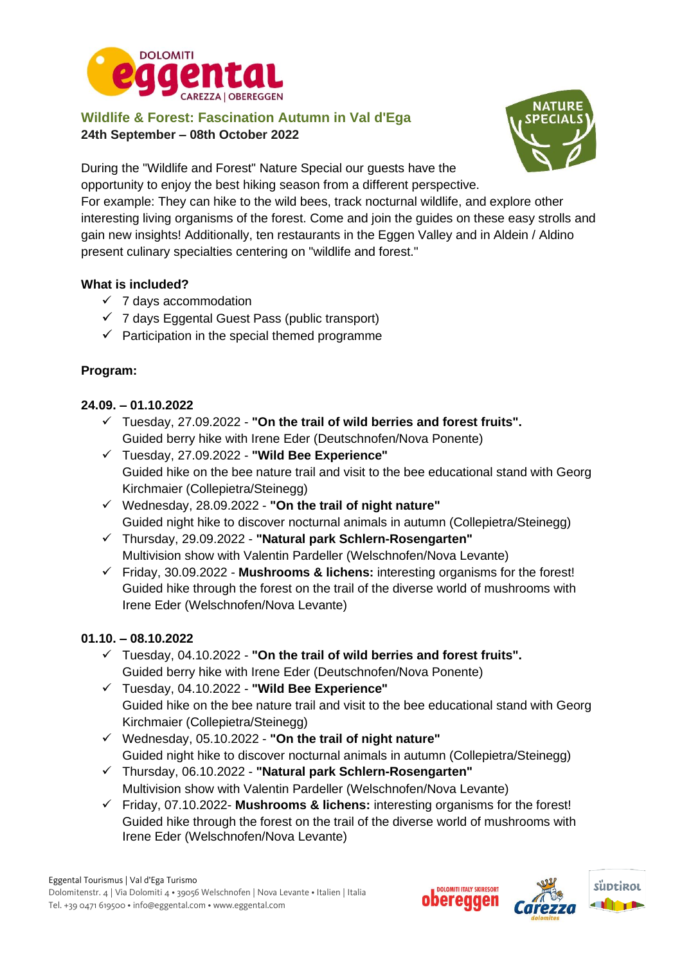

**Wildlife & Forest: Fascination Autumn in Val d'Ega 24th September – 08th October 2022**



During the "Wildlife and Forest" Nature Special our guests have the opportunity to enjoy the best hiking season from a different perspective.

For example: They can hike to the wild bees, track nocturnal wildlife, and explore other interesting living organisms of the forest. Come and join the guides on these easy strolls and gain new insights! Additionally, ten restaurants in the Eggen Valley and in Aldein / Aldino present culinary specialties centering on "wildlife and forest."

## **What is included?**

- $\times$  7 days accommodation
- $\checkmark$  7 days Eggental Guest Pass (public transport)
- $\checkmark$  Participation in the special themed programme

## **Program:**

## **24.09. – 01.10.2022**

- ✓ Tuesday, 27.09.2022 **"On the trail of wild berries and forest fruits".** Guided berry hike with Irene Eder (Deutschnofen/Nova Ponente)
- ✓ Tuesday, 27.09.2022 **"Wild Bee Experience"** Guided hike on the bee nature trail and visit to the bee educational stand with Georg Kirchmaier (Collepietra/Steinegg)
- ✓ Wednesday, 28.09.2022 **"On the trail of night nature"** Guided night hike to discover nocturnal animals in autumn (Collepietra/Steinegg)
- ✓ Thursday, 29.09.2022 **"Natural park Schlern-Rosengarten"** Multivision show with Valentin Pardeller (Welschnofen/Nova Levante)
- ✓ Friday, 30.09.2022 **Mushrooms & lichens:** interesting organisms for the forest! Guided hike through the forest on the trail of the diverse world of mushrooms with Irene Eder (Welschnofen/Nova Levante)

## **01.10. – 08.10.2022**

- ✓ Tuesday, 04.10.2022 **"On the trail of wild berries and forest fruits".** Guided berry hike with Irene Eder (Deutschnofen/Nova Ponente)
- ✓ Tuesday, 04.10.2022 **"Wild Bee Experience"** Guided hike on the bee nature trail and visit to the bee educational stand with Georg Kirchmaier (Collepietra/Steinegg)
- ✓ Wednesday, 05.10.2022 **"On the trail of night nature"** Guided night hike to discover nocturnal animals in autumn (Collepietra/Steinegg)
- ✓ Thursday, 06.10.2022 **"Natural park Schlern-Rosengarten"** Multivision show with Valentin Pardeller (Welschnofen/Nova Levante)
- ✓ Friday, 07.10.2022- **Mushrooms & lichens:** interesting organisms for the forest! Guided hike through the forest on the trail of the diverse world of mushrooms with Irene Eder (Welschnofen/Nova Levante)

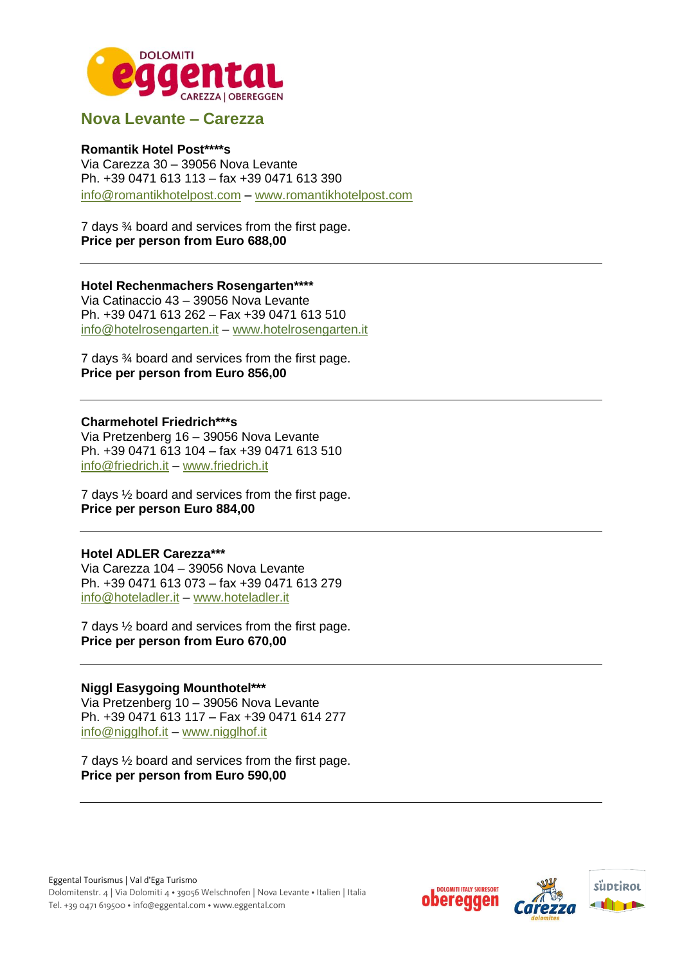

## **Nova Levante – Carezza**

### **Romantik Hotel Post\*\*\*\*s**

Via Carezza 30 – 39056 Nova Levante Ph. +39 0471 613 113 – fax +39 0471 613 390 [info@romantikhotelpost.com](mailto:info@romantikhotelpost.com) – [www.romantikhotelpost.com](http://www.romantikhotelpost.com/)

7 days ¾ board and services from the first page. **Price per person from Euro 688,00**

**Hotel Rechenmachers Rosengarten\*\*\*\*** Via Catinaccio 43 – 39056 Nova Levante Ph. +39 0471 613 262 – Fax +39 0471 613 510 [info@hotelrosengarten.it](mailto:info@hotelrosengarten.it) – [www.hotelrosengarten.it](http://www.hotelrosengarten.it/) 

7 days ¾ board and services from the first page. **Price per person from Euro 856,00**

#### **Charmehotel Friedrich\*\*\*s**

Via Pretzenberg 16 – 39056 Nova Levante Ph. +39 0471 613 104 – fax +39 0471 613 510 [info@friedrich.it](mailto:info@friedrich.it) – [www.friedrich.it](http://www.friedrich.it/)

7 days ½ board and services from the first page. **Price per person Euro 884,00**

#### **Hotel ADLER Carezza\*\*\***

Via Carezza 104 – 39056 Nova Levante Ph. +39 0471 613 073 – fax +39 0471 613 279 [info@hoteladler.it](mailto:info@hoteladler.it) – [www.hoteladler.it](http://www.hoteladler.it/)

7 days ½ board and services from the first page. **Price per person from Euro 670,00** 

#### **Niggl Easygoing Mounthotel\*\*\***

Via Pretzenberg 10 – 39056 Nova Levante Ph. +39 0471 613 117 – Fax +39 0471 614 277 [info@nigglhof.it](mailto:info@nigglhof.it) – [www.nigglhof.it](http://www.nigglhof.it/)

7 days ½ board and services from the first page. **Price per person from Euro 590,00**

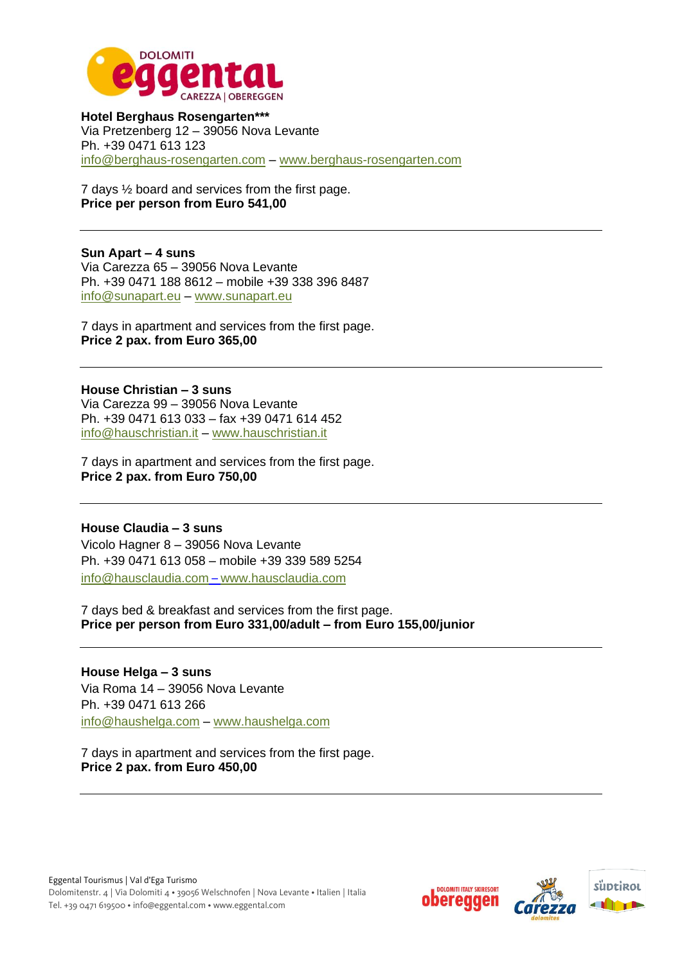

**Hotel Berghaus Rosengarten\*\*\*** Via Pretzenberg 12 – 39056 Nova Levante Ph. +39 0471 613 123 [info@berghaus-rosengarten.com](mailto:info@berghaus-rosengarten.com) – [www.berghaus-rosengarten.com](http://www.berghaus-rosengarten.com/)

7 days ½ board and services from the first page. **Price per person from Euro 541,00**

**Sun Apart – 4 suns** Via Carezza 65 – 39056 Nova Levante Ph. +39 0471 188 8612 – mobile +39 338 396 8487 [info@sunapart.eu](mailto:info@sunapart.eu) – [www.sunapart.eu](http://www.sunapart.eu/)

7 days in apartment and services from the first page. **Price 2 pax. from Euro 365,00**

**House Christian – 3 suns** Via Carezza 99 – 39056 Nova Levante Ph. +39 0471 613 033 – fax +39 0471 614 452 [info@hauschristian.it](mailto:info@hauschristian.it) – [www.hauschristian.it](http://www.hauschristian.it/)

7 days in apartment and services from the first page. **Price 2 pax. from Euro 750,00**

**House Claudia – 3 suns** Vicolo Hagner 8 – 39056 Nova Levante Ph. +39 0471 613 058 – mobile +39 339 589 5254 [info@hausclaudia.com](mailto:info@hausclaudia.com) – [www.hausclaudia.com](http://www.hausclaudia.com/)

7 days bed & breakfast and services from the first page. **Price per person from Euro 331,00/adult – from Euro 155,00/junior**

**House Helga – 3 suns** Via Roma 14 – 39056 Nova Levante Ph. +39 0471 613 266 [info@haushelga.com](mailto:info@haushelga.com) – [www.haushelga.com](http://www.haushelga.com/)

7 days in apartment and services from the first page. **Price 2 pax. from Euro 450,00**

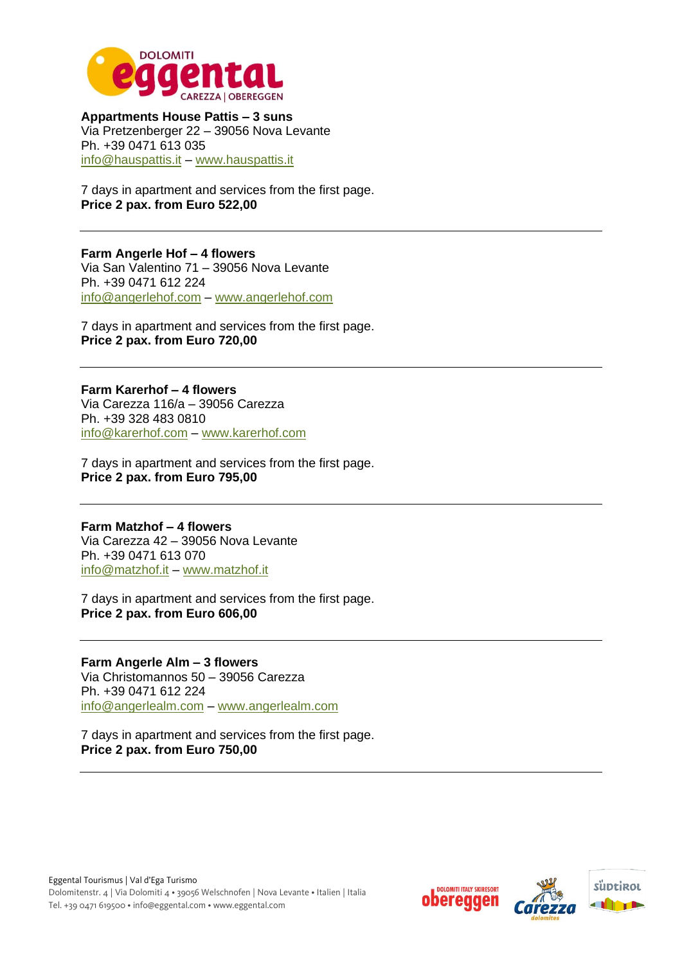

**Appartments House Pattis – 3 suns** Via Pretzenberger 22 – 39056 Nova Levante Ph. +39 0471 613 035 [info@hauspattis.it](mailto:info@hauspattis.it) – [www.hauspattis.it](http://www.hauspattis.it/) 

7 days in apartment and services from the first page. **Price 2 pax. from Euro 522,00**

**Farm Angerle Hof – 4 flowers** Via San Valentino 71 – 39056 Nova Levante Ph. +39 0471 612 224 [info@angerlehof.com](mailto:info@angerlehof.com) – [www.angerlehof.com](http://www.angerlehof.com/)

7 days in apartment and services from the first page. **Price 2 pax. from Euro 720,00**

**Farm Karerhof – 4 flowers** Via Carezza 116/a – 39056 Carezza Ph. +39 328 483 0810 [info@karerhof.com](mailto:info@karerhof.com) – [www.karerhof.com](http://www.karerhof.com/)

7 days in apartment and services from the first page. **Price 2 pax. from Euro 795,00**

**Farm Matzhof – 4 flowers** Via Carezza 42 – 39056 Nova Levante Ph. +39 0471 613 070 [info@matzhof.it](mailto:info@matzhof.it) – [www.matzhof.it](http://www.matzhof.it/)

7 days in apartment and services from the first page. **Price 2 pax. from Euro 606,00**

**Farm Angerle Alm – 3 flowers** Via Christomannos 50 – 39056 Carezza Ph. +39 0471 612 224 [info@angerlealm.com](mailto:info@angerlealm.com) – [www.angerlealm.com](http://www.angerlealm.com/)

7 days in apartment and services from the first page. **Price 2 pax. from Euro 750,00** 

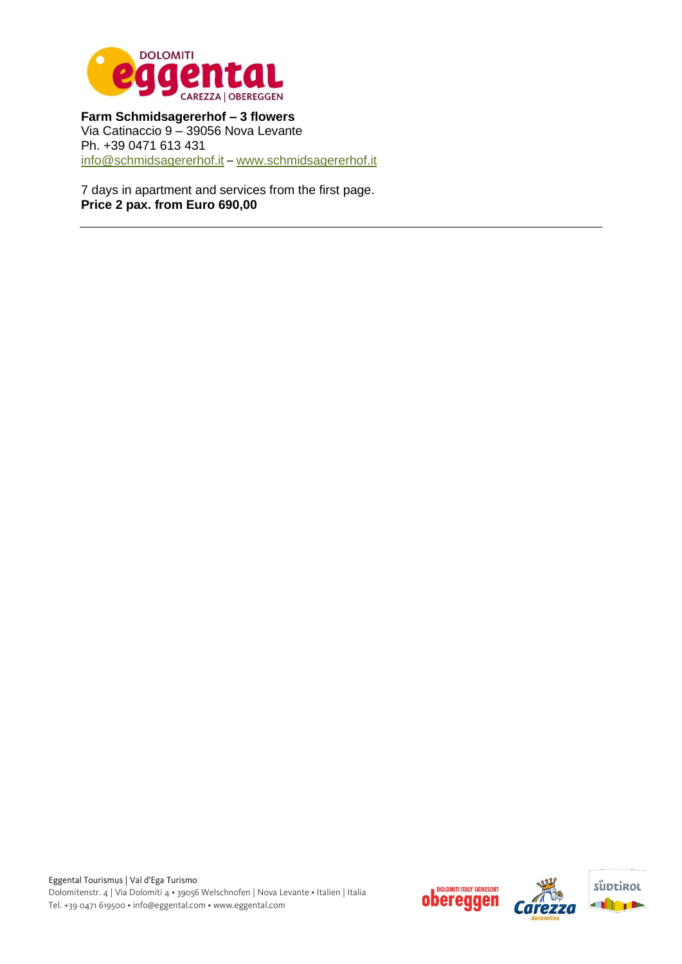

**Farm Schmidsagererhof – 3 flowers** Via Catinaccio 9 – 39056 Nova Levante Ph. +39 0471 613 431 [info@schmidsagererhof.it](mailto:info@schmidsagererhof.it) – [www.schmidsagererhof.it](http://www.schmidsagererhof.it/)

7 days in apartment and services from the first page. **Price 2 pax. from Euro 690,00**